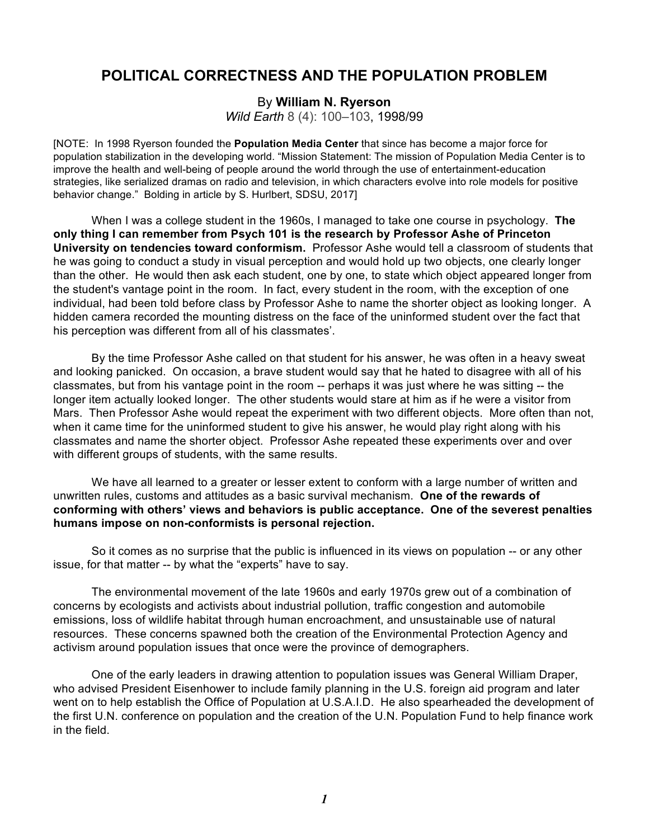## **POLITICAL CORRECTNESS AND THE POPULATION PROBLEM**

By **William N. Ryerson**

*Wild Earth* 8 (4): 100–103, 1998/99

[NOTE: In 1998 Ryerson founded the **Population Media Center** that since has become a major force for population stabilization in the developing world. "Mission Statement: The mission of Population Media Center is to improve the health and well-being of people around the world through the use of entertainment-education strategies, like serialized dramas on radio and television, in which characters evolve into role models for positive behavior change." Bolding in article by S. Hurlbert, SDSU, 2017]

When I was a college student in the 1960s, I managed to take one course in psychology. **The only thing I can remember from Psych 101 is the research by Professor Ashe of Princeton University on tendencies toward conformism.** Professor Ashe would tell a classroom of students that he was going to conduct a study in visual perception and would hold up two objects, one clearly longer than the other. He would then ask each student, one by one, to state which object appeared longer from the student's vantage point in the room. In fact, every student in the room, with the exception of one individual, had been told before class by Professor Ashe to name the shorter object as looking longer. A hidden camera recorded the mounting distress on the face of the uninformed student over the fact that his perception was different from all of his classmates'.

By the time Professor Ashe called on that student for his answer, he was often in a heavy sweat and looking panicked. On occasion, a brave student would say that he hated to disagree with all of his classmates, but from his vantage point in the room -- perhaps it was just where he was sitting -- the longer item actually looked longer. The other students would stare at him as if he were a visitor from Mars. Then Professor Ashe would repeat the experiment with two different objects. More often than not, when it came time for the uninformed student to give his answer, he would play right along with his classmates and name the shorter object. Professor Ashe repeated these experiments over and over with different groups of students, with the same results.

We have all learned to a greater or lesser extent to conform with a large number of written and unwritten rules, customs and attitudes as a basic survival mechanism. **One of the rewards of conforming with others' views and behaviors is public acceptance. One of the severest penalties humans impose on non-conformists is personal rejection.**

So it comes as no surprise that the public is influenced in its views on population -- or any other issue, for that matter -- by what the "experts" have to say.

The environmental movement of the late 1960s and early 1970s grew out of a combination of concerns by ecologists and activists about industrial pollution, traffic congestion and automobile emissions, loss of wildlife habitat through human encroachment, and unsustainable use of natural resources. These concerns spawned both the creation of the Environmental Protection Agency and activism around population issues that once were the province of demographers.

One of the early leaders in drawing attention to population issues was General William Draper, who advised President Eisenhower to include family planning in the U.S. foreign aid program and later went on to help establish the Office of Population at U.S.A.I.D. He also spearheaded the development of the first U.N. conference on population and the creation of the U.N. Population Fund to help finance work in the field.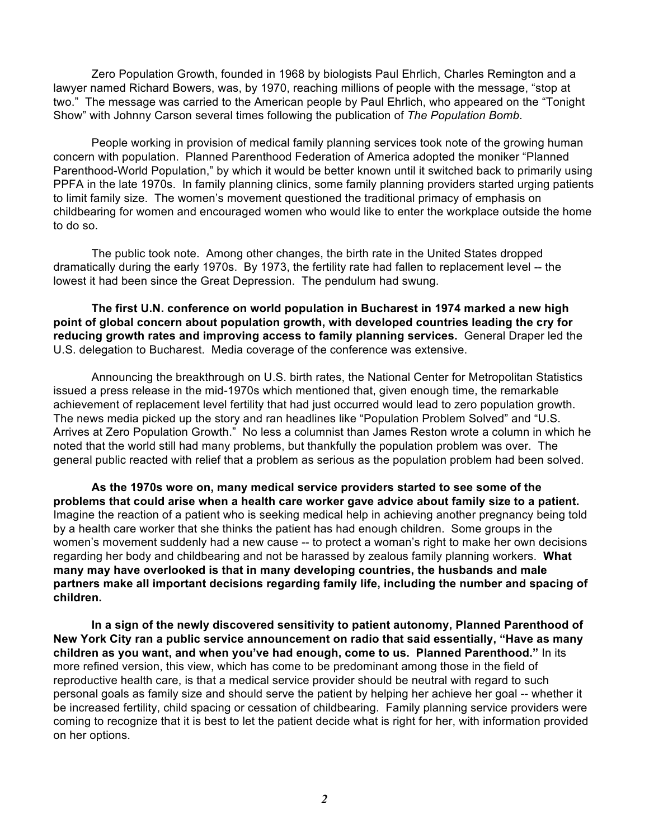Zero Population Growth, founded in 1968 by biologists Paul Ehrlich, Charles Remington and a lawyer named Richard Bowers, was, by 1970, reaching millions of people with the message, "stop at two." The message was carried to the American people by Paul Ehrlich, who appeared on the "Tonight Show" with Johnny Carson several times following the publication of *The Population Bomb*.

People working in provision of medical family planning services took note of the growing human concern with population. Planned Parenthood Federation of America adopted the moniker "Planned Parenthood-World Population," by which it would be better known until it switched back to primarily using PPFA in the late 1970s. In family planning clinics, some family planning providers started urging patients to limit family size. The women's movement questioned the traditional primacy of emphasis on childbearing for women and encouraged women who would like to enter the workplace outside the home to do so.

The public took note. Among other changes, the birth rate in the United States dropped dramatically during the early 1970s. By 1973, the fertility rate had fallen to replacement level -- the lowest it had been since the Great Depression. The pendulum had swung.

**The first U.N. conference on world population in Bucharest in 1974 marked a new high point of global concern about population growth, with developed countries leading the cry for reducing growth rates and improving access to family planning services.** General Draper led the U.S. delegation to Bucharest. Media coverage of the conference was extensive.

Announcing the breakthrough on U.S. birth rates, the National Center for Metropolitan Statistics issued a press release in the mid-1970s which mentioned that, given enough time, the remarkable achievement of replacement level fertility that had just occurred would lead to zero population growth. The news media picked up the story and ran headlines like "Population Problem Solved" and "U.S. Arrives at Zero Population Growth." No less a columnist than James Reston wrote a column in which he noted that the world still had many problems, but thankfully the population problem was over. The general public reacted with relief that a problem as serious as the population problem had been solved.

**As the 1970s wore on, many medical service providers started to see some of the problems that could arise when a health care worker gave advice about family size to a patient.** Imagine the reaction of a patient who is seeking medical help in achieving another pregnancy being told by a health care worker that she thinks the patient has had enough children. Some groups in the women's movement suddenly had a new cause -- to protect a woman's right to make her own decisions regarding her body and childbearing and not be harassed by zealous family planning workers. **What many may have overlooked is that in many developing countries, the husbands and male partners make all important decisions regarding family life, including the number and spacing of children.**

**In a sign of the newly discovered sensitivity to patient autonomy, Planned Parenthood of New York City ran a public service announcement on radio that said essentially, "Have as many children as you want, and when you've had enough, come to us. Planned Parenthood."** In its more refined version, this view, which has come to be predominant among those in the field of reproductive health care, is that a medical service provider should be neutral with regard to such personal goals as family size and should serve the patient by helping her achieve her goal -- whether it be increased fertility, child spacing or cessation of childbearing. Family planning service providers were coming to recognize that it is best to let the patient decide what is right for her, with information provided on her options.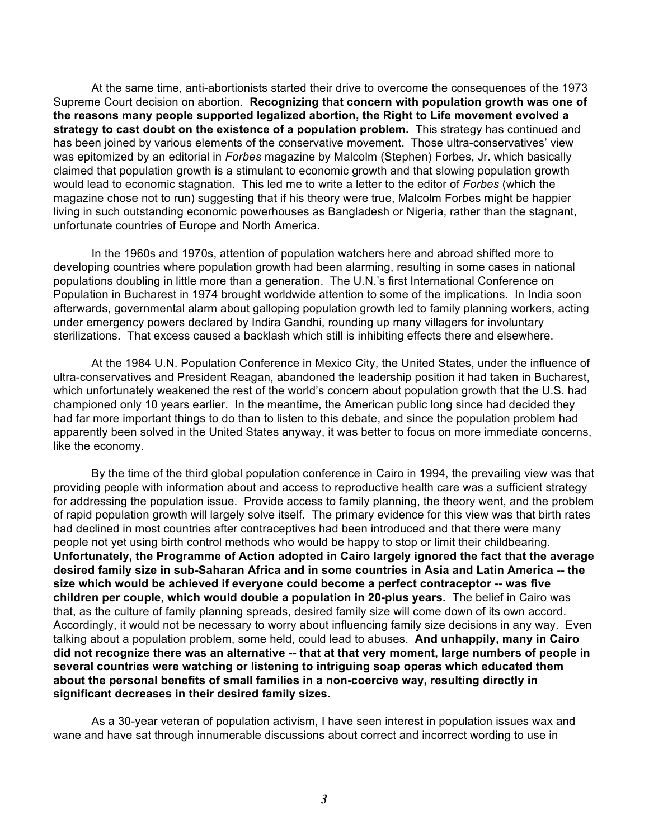At the same time, anti-abortionists started their drive to overcome the consequences of the 1973 Supreme Court decision on abortion. **Recognizing that concern with population growth was one of the reasons many people supported legalized abortion, the Right to Life movement evolved a strategy to cast doubt on the existence of a population problem.** This strategy has continued and has been joined by various elements of the conservative movement. Those ultra-conservatives' view was epitomized by an editorial in *Forbes* magazine by Malcolm (Stephen) Forbes, Jr. which basically claimed that population growth is a stimulant to economic growth and that slowing population growth would lead to economic stagnation. This led me to write a letter to the editor of *Forbes* (which the magazine chose not to run) suggesting that if his theory were true, Malcolm Forbes might be happier living in such outstanding economic powerhouses as Bangladesh or Nigeria, rather than the stagnant, unfortunate countries of Europe and North America.

In the 1960s and 1970s, attention of population watchers here and abroad shifted more to developing countries where population growth had been alarming, resulting in some cases in national populations doubling in little more than a generation. The U.N.'s first International Conference on Population in Bucharest in 1974 brought worldwide attention to some of the implications. In India soon afterwards, governmental alarm about galloping population growth led to family planning workers, acting under emergency powers declared by Indira Gandhi, rounding up many villagers for involuntary sterilizations. That excess caused a backlash which still is inhibiting effects there and elsewhere.

At the 1984 U.N. Population Conference in Mexico City, the United States, under the influence of ultra-conservatives and President Reagan, abandoned the leadership position it had taken in Bucharest, which unfortunately weakened the rest of the world's concern about population growth that the U.S. had championed only 10 years earlier. In the meantime, the American public long since had decided they had far more important things to do than to listen to this debate, and since the population problem had apparently been solved in the United States anyway, it was better to focus on more immediate concerns, like the economy.

By the time of the third global population conference in Cairo in 1994, the prevailing view was that providing people with information about and access to reproductive health care was a sufficient strategy for addressing the population issue. Provide access to family planning, the theory went, and the problem of rapid population growth will largely solve itself. The primary evidence for this view was that birth rates had declined in most countries after contraceptives had been introduced and that there were many people not yet using birth control methods who would be happy to stop or limit their childbearing. **Unfortunately, the Programme of Action adopted in Cairo largely ignored the fact that the average desired family size in sub-Saharan Africa and in some countries in Asia and Latin America -- the size which would be achieved if everyone could become a perfect contraceptor -- was five children per couple, which would double a population in 20-plus years.** The belief in Cairo was that, as the culture of family planning spreads, desired family size will come down of its own accord. Accordingly, it would not be necessary to worry about influencing family size decisions in any way. Even talking about a population problem, some held, could lead to abuses. **And unhappily, many in Cairo did not recognize there was an alternative -- that at that very moment, large numbers of people in several countries were watching or listening to intriguing soap operas which educated them about the personal benefits of small families in a non-coercive way, resulting directly in significant decreases in their desired family sizes.**

As a 30-year veteran of population activism, I have seen interest in population issues wax and wane and have sat through innumerable discussions about correct and incorrect wording to use in